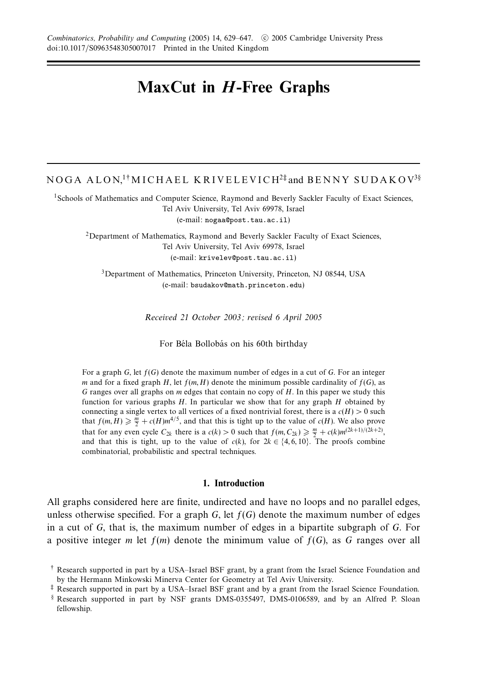# **MaxCut in** *H***-Free Graphs**

# NOGA ALON.<sup>1†</sup>MICHAEL KRIVELEVICH<sup>2‡</sup> and BENNY SUDAKOV<sup>3§</sup>

<sup>1</sup>Schools of Mathematics and Computer Science, Raymond and Beverly Sackler Faculty of Exact Sciences, Tel Aviv University, Tel Aviv 69978, Israel (e-mail: nogaa@post.tau.ac.il)

2Department of Mathematics, Raymond and Beverly Sackler Faculty of Exact Sciences, Tel Aviv University, Tel Aviv 69978, Israel (e-mail: krivelev@post.tau.ac.il)

3Department of Mathematics, Princeton University, Princeton, NJ 08544, USA (e-mail: bsudakov@math.princeton.edu)

Received 21 October 2003; revised 6 April 2005

For Béla Bollobás on his 60th birthday

For a graph *G*, let *f*(*G*) denote the maximum number of edges in a cut of *G*. For an integer *m* and for a fixed graph *H*, let  $f(m, H)$  denote the minimum possible cardinality of  $f(G)$ , as *G* ranges over all graphs on *m* edges that contain no copy of *H*. In this paper we study this function for various graphs *H*. In particular we show that for any graph *H* obtained by connecting a single vertex to all vertices of a fixed nontrivial forest, there is a  $c(H) > 0$  such that  $f(m, H) \geq \frac{m}{2} + c(H)m^{4/5}$ , and that this is tight up to the value of  $c(H)$ . We also prove that for any even cycle  $C_{2k}$  there is a  $c(k) > 0$  such that  $f(m, C_{2k}) \geq \frac{m}{2} + c(k)m^{(2k+1)/(2k+2)}$ , and that this is tight, up to the value of  $c(k)$ , for  $2k \in \{4, 6, 10\}$ . The proofs combine combinatorial, probabilistic and spectral techniques.

#### **1. Introduction**

All graphs considered here are finite, undirected and have no loops and no parallel edges, unless otherwise specified. For a graph  $G$ , let  $f(G)$  denote the maximum number of edges in a cut of *G*, that is, the maximum number of edges in a bipartite subgraph of *G*. For a positive integer *m* let  $f(m)$  denote the minimum value of  $f(G)$ , as G ranges over all

<sup>†</sup> Research supported in part by a USA–Israel BSF grant, by a grant from the Israel Science Foundation and by the Hermann Minkowski Minerva Center for Geometry at Tel Aviv University.

<sup>‡</sup> Research supported in part by a USA–Israel BSF grant and by a grant from the Israel Science Foundation.

<sup>§</sup> Research supported in part by NSF grants DMS-0355497, DMS-0106589, and by an Alfred P. Sloan fellowship.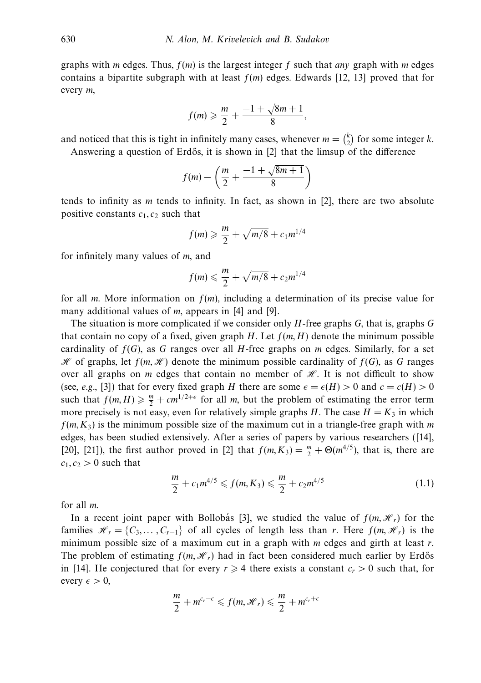graphs with *m* edges. Thus,  $f(m)$  is the largest integer f such that *any* graph with *m* edges contains a bipartite subgraph with at least  $f(m)$  edges. Edwards [12, 13] proved that for every *m*,

$$
f(m) \geqslant \frac{m}{2} + \frac{-1 + \sqrt{8m + 1}}{8},
$$

and noticed that this is tight in infinitely many cases, whenever  $m = \binom{k}{2}$  for some integer *k*.

Answering a question of Erdős, it is shown in [2] that the limsup of the difference

$$
f(m) - \left(\frac{m}{2} + \frac{-1 + \sqrt{8m + 1}}{8}\right)
$$

tends to infinity as *m* tends to infinity. In fact, as shown in [2], there are two absolute positive constants  $c_1, c_2$  such that

$$
f(m) \geq \frac{m}{2} + \sqrt{m/8} + c_1 m^{1/4}
$$

for infinitely many values of *m*, and

$$
f(m) \leqslant \frac{m}{2} + \sqrt{m/8} + c_2 m^{1/4}
$$

for all *m*. More information on *f*(*m*), including a determination of its precise value for many additional values of *m*, appears in [4] and [9].

The situation is more complicated if we consider only *H*-free graphs *G*, that is, graphs *G* that contain no copy of a fixed, given graph *H*. Let  $f(m, H)$  denote the minimum possible cardinality of  $f(G)$ , as  $G$  ranges over all  $H$ -free graphs on  $m$  edges. Similarly, for a set  $H$  of graphs, let  $f(m, H)$  denote the minimum possible cardinality of  $f(G)$ , as G ranges over all graphs on *m* edges that contain no member of  $H$ . It is not difficult to show (see, e.g., [3]) that for every fixed graph *H* there are some  $\epsilon = \epsilon(H) > 0$  and  $c = c(H) > 0$ such that  $f(m, H) \ge \frac{m}{2} + cm^{1/2+\epsilon}$  for all *m*, but the problem of estimating the error term more precisely is not easy, even for relatively simple graphs *H*. The case  $H = K_3$  in which  $f(m, K_3)$  is the minimum possible size of the maximum cut in a triangle-free graph with *m* edges, has been studied extensively. After a series of papers by various researchers ([14], [20], [21]), the first author proved in [2] that  $f(m, K_3) = \frac{m}{2} + \Theta(m^{4/5})$ , that is, there are  $c_1, c_2 > 0$  such that

$$
\frac{m}{2} + c_1 m^{4/5} \leq f(m, K_3) \leq \frac{m}{2} + c_2 m^{4/5}
$$
 (1.1)

for all *m*.

In a recent joint paper with Bollobas [3], we studied the value of  $f(m, \mathcal{H}_r)$  for the families  $\mathcal{H}_r = \{C_3, \ldots, C_{r-1}\}\$  of all cycles of length less than *r*. Here  $f(m, \mathcal{H}_r)$  is the minimum possible size of a maximum cut in a graph with *m* edges and girth at least *r*. The problem of estimating  $f(m, \mathcal{H}_r)$  had in fact been considered much earlier by Erdős in [14]. He conjectured that for every  $r \geq 4$  there exists a constant  $c_r > 0$  such that, for every  $\epsilon > 0$ ,

$$
\frac{m}{2} + m^{c_r - \epsilon} \leqslant f(m, \mathcal{H}_r) \leqslant \frac{m}{2} + m^{c_r + \epsilon}
$$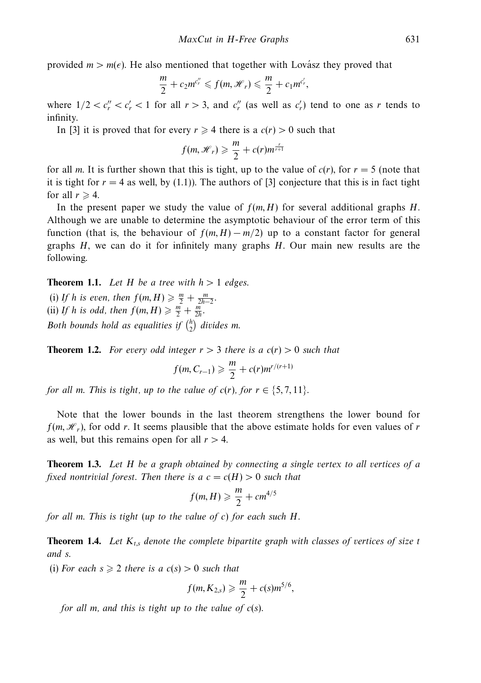provided  $m > m(\epsilon)$ . He also mentioned that together with Lovász they proved that

$$
\frac{m}{2}+c_2m^{c_r^{\prime\prime}}\leqslant f(m,\mathcal{H}_r)\leqslant \frac{m}{2}+c_1m^{c_r^{\prime}},
$$

where  $1/2 < c''_r < c'_r < 1$  for all  $r > 3$ , and  $c''_r$  (as well as  $c'_r$ ) tend to one as *r* tends to infinity.

In [3] it is proved that for every  $r \ge 4$  there is a  $c(r) > 0$  such that

$$
f(m, \mathcal{H}_r) \geqslant \frac{m}{2} + c(r) m^{\frac{r}{r+1}}
$$

for all *m*. It is further shown that this is tight, up to the value of  $c(r)$ , for  $r = 5$  (note that it is tight for  $r = 4$  as well, by (1.1)). The authors of [3] conjecture that this is in fact tight for all  $r \geq 4$ .

In the present paper we study the value of  $f(m, H)$  for several additional graphs *H*. Although we are unable to determine the asymptotic behaviour of the error term of this function (that is, the behaviour of  $f(m, H) - m/2$ ) up to a constant factor for general graphs *H*, we can do it for infinitely many graphs *H*. Our main new results are the following.

**Theorem 1.1.** Let *H* be a tree with  $h > 1$  edges.

(i) If *h* is even, then  $f(m, H) \ge \frac{m}{2} + \frac{m}{2h-2}$ . (ii) If *h* is odd, then  $f(m, H) \geq \frac{m}{2} + \frac{m}{2h}$ . Both bounds hold as equalities if  $\binom{h}{2}$  divides m.

**Theorem 1.2.** For every odd integer  $r > 3$  there is a  $c(r) > 0$  such that

$$
f(m, C_{r-1}) \geq \frac{m}{2} + c(r) m^{r/(r+1)}
$$

*for all m. This is tight, up to the value of*  $c(r)$ *, for*  $r \in \{5, 7, 11\}$ *.* 

Note that the lower bounds in the last theorem strengthens the lower bound for  $f(m, \mathcal{H}_r)$ , for odd *r*. It seems plausible that the above estimate holds for even values of *r* as well, but this remains open for all *r >* 4.

**Theorem 1.3.** Let *H* be a graph obtained by connecting a single vertex to all vertices of a fixed nontrivial forest. Then there is a  $c = c(H) > 0$  such that

$$
f(m,H) \geq \frac{m}{2} + cm^{4/5}
$$

for all *m*. This is tight (up to the value of *c*) for each such *H*.

**Theorem 1.4.** Let *Kt,s* denote the complete bipartite graph with classes of vertices of size *t* and *s*.

(i) For each  $s \geq 2$  there is a  $c(s) > 0$  such that

$$
f(m, K_{2,s}) \geq \frac{m}{2} + c(s) m^{5/6},
$$

for all *m*, and this is tight up to the value of *c*(*s*).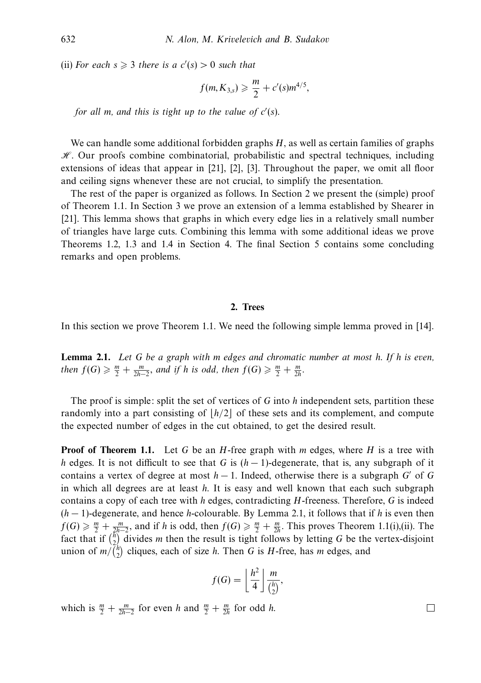(ii) For each  $s \geq 3$  there is a  $c'(s) > 0$  such that

$$
f(m, K_{3,s}) \geq \frac{m}{2} + c'(s)m^{4/5},
$$

for all *m*, and this is tight up to the value of *c* (*s*).

We can handle some additional forbidden graphs *H*, as well as certain families of graphs  $H$ . Our proofs combine combinatorial, probabilistic and spectral techniques, including extensions of ideas that appear in [21], [2], [3]. Throughout the paper, we omit all floor and ceiling signs whenever these are not crucial, to simplify the presentation.

The rest of the paper is organized as follows. In Section 2 we present the (simple) proof of Theorem 1.1. In Section 3 we prove an extension of a lemma established by Shearer in [21]. This lemma shows that graphs in which every edge lies in a relatively small number of triangles have large cuts. Combining this lemma with some additional ideas we prove Theorems 1.2, 1.3 and 1.4 in Section 4. The final Section 5 contains some concluding remarks and open problems.

#### **2. Trees**

In this section we prove Theorem 1.1. We need the following simple lemma proved in [14].

**Lemma 2.1.** Let *G* be a graph with *m* edges and chromatic number at most *h*. If *h* is even, then  $f(G) \geq \frac{m}{2} + \frac{m}{2h-2}$ , and if *h* is odd, then  $f(G) \geq \frac{m}{2} + \frac{m}{2h}$ .

The proof is simple: split the set of vertices of *G* into *h* independent sets, partition these randomly into a part consisting of  $|h/2|$  of these sets and its complement, and compute the expected number of edges in the cut obtained, to get the desired result.

**Proof of Theorem 1.1.** Let *G* be an *H*-free graph with *m* edges, where *H* is a tree with *h* edges. It is not difficult to see that *G* is (*h* − 1)-degenerate, that is, any subgraph of it contains a vertex of degree at most  $h-1$ . Indeed, otherwise there is a subgraph *G'* of *G* in which all degrees are at least *h*. It is easy and well known that each such subgraph contains a copy of each tree with *h* edges, contradicting *H*-freeness. Therefore, *G* is indeed (*h* − 1)-degenerate, and hence *h*-colourable. By Lemma 2.1, it follows that if *h* is even then  $f(G) \geq \frac{m}{2} + \frac{m}{2h-2}$ , and if *h* is odd, then  $f(G) \geq \frac{m}{2} + \frac{m}{2h}$ . This proves Theorem 1.1(i),(ii). The fact that if  $\binom{\hbar}{2}$  divides *m* then the result is tight follows by letting *G* be the vertex-disjoint union of  $m/\binom{n}{2}$  cliques, each of size *h*. Then *G* is *H*-free, has *m* edges, and

$$
f(G) = \left\lfloor \frac{h^2}{4} \right\rfloor \frac{m}{\binom{h}{2}},
$$

which is  $\frac{m}{2} + \frac{m}{2h-2}$  for even *h* and  $\frac{m}{2} + \frac{m}{2h}$  for odd *h*.

 $\Box$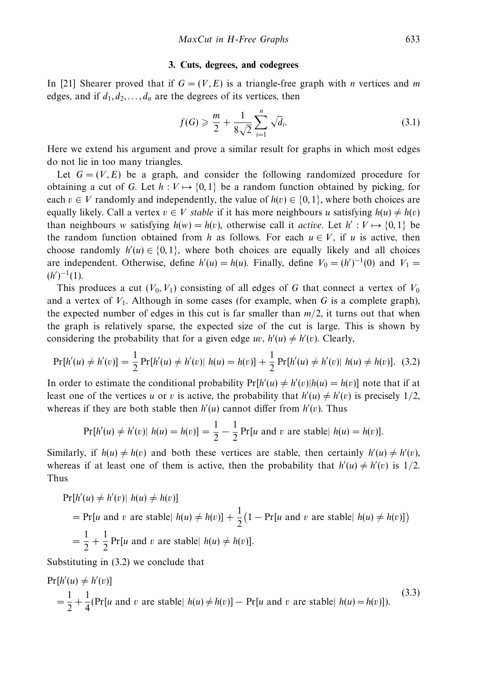#### **3. Cuts, degrees, and codegrees**

In [21] Shearer proved that if  $G = (V, E)$  is a triangle-free graph with *n* vertices and *m* edges, and if  $d_1, d_2, \ldots, d_n$  are the degrees of its vertices, then

$$
f(G) \geq \frac{m}{2} + \frac{1}{8\sqrt{2}} \sum_{i=1}^{n} \sqrt{d_i}.
$$
 (3.1)

Here we extend his argument and prove a similar result for graphs in which most edges do not lie in too many triangles.

Let  $G = (V, E)$  be a graph, and consider the following randomized procedure for obtaining a cut of *G*. Let  $h: V \mapsto \{0,1\}$  be a random function obtained by picking, for each  $v \in V$  randomly and independently, the value of  $h(v) \in \{0, 1\}$ , where both choices are equally likely. Call a vertex  $v \in V$  stable if it has more neighbours *u* satisfying  $h(u) \neq h(v)$ than neighbours *w* satisfying  $h(w) = h(v)$ , otherwise call it *active*. Let  $h' : V \mapsto \{0, 1\}$  be the random function obtained from *h* as follows. For each  $u \in V$ , if *u* is active, then choose randomly  $h'(u) \in \{0, 1\}$ , where both choices are equally likely and all choices are independent. Otherwise, define  $h'(u) = h(u)$ . Finally, define  $V_0 = (h')^{-1}(0)$  and  $V_1 =$  $(h')^{-1}(1).$ 

This produces a cut  $(V_0, V_1)$  consisting of all edges of G that connect a vertex of  $V_0$ and a vertex of  $V_1$ . Although in some cases (for example, when G is a complete graph), the expected number of edges in this cut is far smaller than  $m/2$ , it turns out that when the graph is relatively sparse, the expected size of the cut is large. This is shown by considering the probability that for a given edge *uv*,  $h'(u) \neq h'(v)$ . Clearly,

$$
Pr[h'(u) \neq h'(v)] = \frac{1}{2} Pr[h'(u) \neq h'(v) | h(u) = h(v)] + \frac{1}{2} Pr[h'(u) \neq h'(v) | h(u) \neq h(v)].
$$
 (3.2)

In order to estimate the conditional probability  $Pr[h'(u) \neq h'(v)|h(u) = h(v)]$  note that if at least one of the vertices *u* or *v* is active, the probability that  $h'(u) \neq h'(v)$  is precisely 1/2, whereas if they are both stable then  $h'(u)$  cannot differ from  $h'(v)$ . Thus

$$
Pr[h'(u) \neq h'(v) | h(u) = h(v)] = \frac{1}{2} - \frac{1}{2} Pr[u \text{ and } v \text{ are stable} | h(u) = h(v)].
$$

Similarly, if  $h(u) \neq h(v)$  and both these vertices are stable, then certainly  $h'(u) \neq h'(v)$ , whereas if at least one of them is active, then the probability that  $h'(u) \neq h'(v)$  is 1/2. Thus

$$
\Pr[h'(u) \neq h'(v) | h(u) \neq h(v)]
$$
  
= 
$$
\Pr[u \text{ and } v \text{ are stable} | h(u) \neq h(v)] + \frac{1}{2} (1 - \Pr[u \text{ and } v \text{ are stable} | h(u) \neq h(v)])
$$
  
= 
$$
\frac{1}{2} + \frac{1}{2} \Pr[u \text{ and } v \text{ are stable} | h(u) \neq h(v)].
$$

Substituting in (3.2) we conclude that

$$
\Pr[h'(u) \neq h'(v)]
$$
\n
$$
= \frac{1}{2} + \frac{1}{4}(\Pr[u \text{ and } v \text{ are stable} \mid h(u) \neq h(v)] - \Pr[u \text{ and } v \text{ are stable} \mid h(u) = h(v)].
$$
\n(3.3)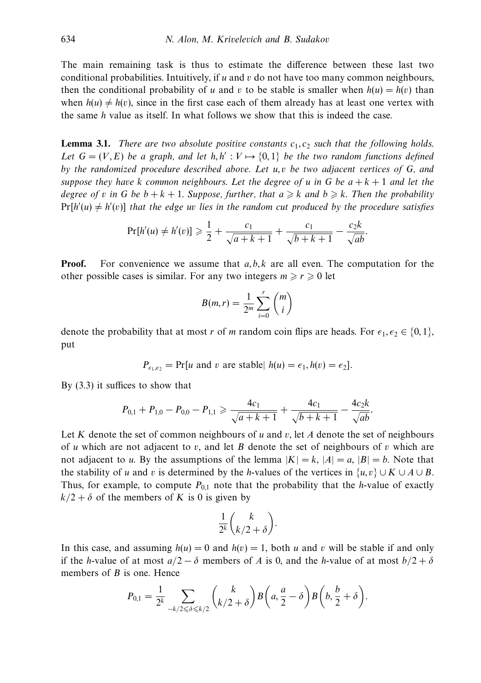The main remaining task is thus to estimate the difference between these last two conditional probabilities. Intuitively, if *u* and *v* do not have too many common neighbours, then the conditional probability of *u* and *v* to be stable is smaller when  $h(u) = h(v)$  than when  $h(u) \neq h(v)$ , since in the first case each of them already has at least one vertex with the same *h* value as itself. In what follows we show that this is indeed the case.

**Lemma 3.1.** There are two absolute positive constants  $c_1, c_2$  such that the following holds. Let  $G = (V, E)$  be a graph, and let  $h, h' : V \mapsto \{0, 1\}$  be the two random functions defined by the randomized procedure described above. Let *u, v* be two adjacent vertices of *G*, and suppose they have *k* common neighbours. Let the degree of *u* in *G* be  $a + k + 1$  and let the degree of *v* in G be  $b + k + 1$ . Suppose, further, that  $a \ge k$  and  $b \ge k$ . Then the probability  $Pr[h'(u) \neq h'(v)]$  that the edge *uv* lies in the random cut produced by the procedure satisfies

$$
\Pr[h'(u) \neq h'(v)] \geq \frac{1}{2} + \frac{c_1}{\sqrt{a+k+1}} + \frac{c_1}{\sqrt{b+k+1}} - \frac{c_2k}{\sqrt{ab}}.
$$

**Proof.** For convenience we assume that  $a, b, k$  are all even. The computation for the other possible cases is similar. For any two integers  $m \ge r \ge 0$  let

$$
B(m,r) = \frac{1}{2^m} \sum_{i=0}^r \binom{m}{i}
$$

denote the probability that at most *r* of *m* random coin flips are heads. For  $\epsilon_1, \epsilon_2 \in \{0, 1\}$ , put

$$
P_{\epsilon_1,\epsilon_2} = \Pr[u \text{ and } v \text{ are stable} \mid h(u) = \epsilon_1, h(v) = \epsilon_2].
$$

By (3.3) it suffices to show that

$$
P_{0,1} + P_{1,0} - P_{0,0} - P_{1,1} \geqslant \frac{4c_1}{\sqrt{a+k+1}} + \frac{4c_1}{\sqrt{b+k+1}} - \frac{4c_2k}{\sqrt{ab}}.
$$

Let *K* denote the set of common neighbours of *u* and *v*, let *A* denote the set of neighbours of *u* which are not adjacent to *v*, and let *B* denote the set of neighbours of *v* which are not adjacent to *u*. By the assumptions of the lemma  $|K| = k$ ,  $|A| = a$ ,  $|B| = b$ . Note that the stability of *u* and *v* is determined by the *h*-values of the vertices in  $\{u, v\} \cup K \cup A \cup B$ . Thus, for example, to compute  $P_{0,1}$  note that the probability that the *h*-value of exactly  $k/2 + \delta$  of the members of *K* is 0 is given by

$$
\frac{1}{2^k} {k \choose k/2 + \delta}.
$$

In this case, and assuming  $h(u) = 0$  and  $h(v) = 1$ , both *u* and *v* will be stable if and only if the *h*-value of at most  $a/2 - \delta$  members of *A* is 0, and the *h*-value of at most  $b/2 + \delta$ members of *B* is one. Hence

$$
P_{0,1} = \frac{1}{2^k} \sum_{-k/2 \leq \delta \leq k/2} {k \choose k/2 + \delta} B\left(a, \frac{a}{2} - \delta\right) B\left(b, \frac{b}{2} + \delta\right).
$$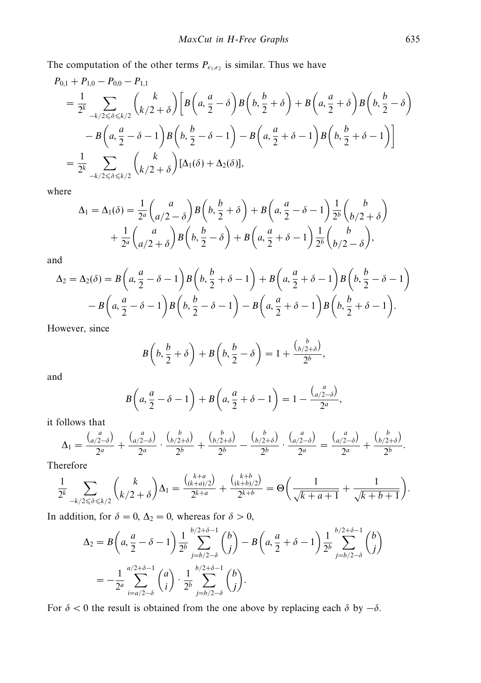The computation of the other terms  $P_{\epsilon_1,\epsilon_2}$  is similar. Thus we have

$$
P_{0,1} + P_{1,0} - P_{0,0} - P_{1,1}
$$
  
=  $\frac{1}{2^k} \sum_{-k/2 \le \delta \le k/2} {k \choose k/2 + \delta} \left[ B\left(a, \frac{a}{2} - \delta\right) B\left(b, \frac{b}{2} + \delta\right) + B\left(a, \frac{a}{2} + \delta\right) B\left(b, \frac{b}{2} - \delta\right) \right]$   
-  $B\left(a, \frac{a}{2} - \delta - 1\right) B\left(b, \frac{b}{2} - \delta - 1\right) - B\left(a, \frac{a}{2} + \delta - 1\right) B\left(b, \frac{b}{2} + \delta - 1\right) \right]$   
=  $\frac{1}{2^k} \sum_{-k/2 \le \delta \le k/2} {k \choose k/2 + \delta} [\Delta_1(\delta) + \Delta_2(\delta)],$ 

where

$$
\Delta_1 = \Delta_1(\delta) = \frac{1}{2^a} {a \choose a/2 - \delta} B\left(b, \frac{b}{2} + \delta\right) + B\left(a, \frac{a}{2} - \delta - 1\right) \frac{1}{2^b} {b \choose b/2 + \delta}
$$

$$
+ \frac{1}{2^a} {a \choose a/2 + \delta} B\left(b, \frac{b}{2} - \delta\right) + B\left(a, \frac{a}{2} + \delta - 1\right) \frac{1}{2^b} {b \choose b/2 - \delta},
$$

and

$$
\Delta_2 = \Delta_2(\delta) = B\left(a, \frac{a}{2} - \delta - 1\right)B\left(b, \frac{b}{2} + \delta - 1\right) + B\left(a, \frac{a}{2} + \delta - 1\right)B\left(b, \frac{b}{2} - \delta - 1\right)
$$

$$
- B\left(a, \frac{a}{2} - \delta - 1\right)B\left(b, \frac{b}{2} - \delta - 1\right) - B\left(a, \frac{a}{2} + \delta - 1\right)B\left(b, \frac{b}{2} + \delta - 1\right).
$$

However, since

$$
B\left(b, \frac{b}{2} + \delta\right) + B\left(b, \frac{b}{2} - \delta\right) = 1 + \frac{\binom{b}{b/2+\delta}}{2^b},
$$

and

$$
B\left(a,\frac{a}{2}-\delta-1\right)+B\left(a,\frac{a}{2}+\delta-1\right)=1-\frac{\binom{a}{a/2-\delta}}{2^a},
$$

it follows that

$$
\Delta_1 = \frac{\binom{a}{a/2-\delta}}{2^a} + \frac{\binom{a}{a/2-\delta}}{2^a} \cdot \frac{\binom{b}{b/2+\delta}}{2^b} + \frac{\binom{b}{b/2+\delta}}{2^b} - \frac{\binom{b}{b/2+\delta}}{2^b} \cdot \frac{\binom{a}{a/2-\delta}}{2^a} = \frac{\binom{a}{a/2-\delta}}{2^a} + \frac{\binom{b}{b/2+\delta}}{2^b}.
$$

Therefore

$$
\frac{1}{2^k} \sum_{-k/2 \le \delta \le k/2} \binom{k}{k/2+\delta} \Delta_1 = \frac{\binom{k+a}{(k+a)/2}}{2^{k+a}} + \frac{\binom{k+b}{(k+b)/2}}{2^{k+b}} = \Theta\left(\frac{1}{\sqrt{k+a+1}} + \frac{1}{\sqrt{k+b+1}}\right).
$$

In addition, for  $\delta = 0$ ,  $\Delta_2 = 0$ , whereas for  $\delta > 0$ ,

$$
\Delta_2 = B\left(a, \frac{a}{2} - \delta - 1\right) \frac{1}{2^b} \sum_{j=b/2-\delta}^{b/2+\delta-1} {b \choose j} - B\left(a, \frac{a}{2} + \delta - 1\right) \frac{1}{2^b} \sum_{j=b/2-\delta}^{b/2+\delta-1} {b \choose j}
$$
  
= 
$$
-\frac{1}{2^a} \sum_{i=a/2-\delta}^{a/2+\delta-1} {a \choose i} \cdot \frac{1}{2^b} \sum_{j=b/2-\delta}^{b/2+\delta-1} {b \choose j}.
$$

For  $\delta$  < 0 the result is obtained from the one above by replacing each  $\delta$  by  $-\delta$ .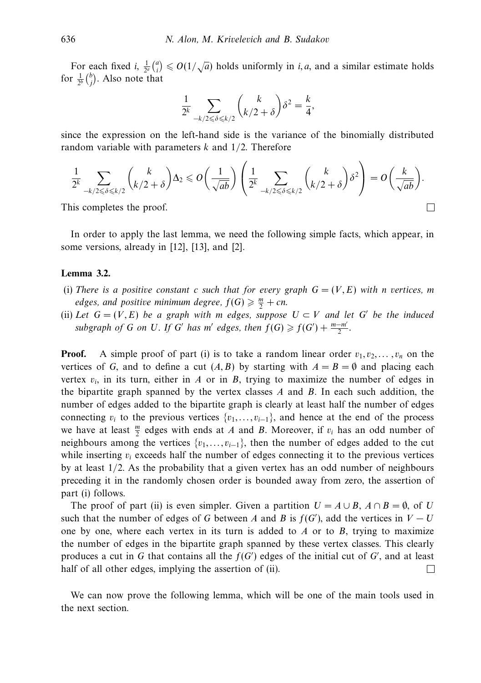For each fixed *i*,  $\frac{1}{2^a} {a \choose i} \le O(1/\sqrt{a})$  holds uniformly in *i, a,* and a similar estimate holds for  $\frac{1}{2^b} {b \choose j}$ . Also note that

$$
\frac{1}{2^k} \sum_{-k/2 \leq \delta \leq k/2} {k \choose k/2 + \delta} \delta^2 = \frac{k}{4},
$$

since the expression on the left-hand side is the variance of the binomially distributed random variable with parameters *k* and 1*/*2. Therefore

$$
\frac{1}{2^k} \sum_{-k/2 \leq \delta \leq k/2} \binom{k}{k/2+\delta} \Delta_2 \leq \mathcal{O}\left(\frac{1}{\sqrt{ab}}\right) \left(\frac{1}{2^k} \sum_{-k/2 \leq \delta \leq k/2} \binom{k}{k/2+\delta} \delta^2\right) = \mathcal{O}\left(\frac{k}{\sqrt{ab}}\right).
$$

 $\Box$ 

This completes the proof.

In order to apply the last lemma, we need the following simple facts, which appear, in some versions, already in [12], [13], and [2].

# **Lemma 3.2.**

- (i) There is a positive constant *c* such that for every graph  $G = (V, E)$  with *n* vertices, *m* edges, and positive minimum degree,  $f(G) \geq n$ <sub>2</sub> + cn.
- (ii) Let  $G = (V, E)$  be a graph with *m* edges, suppose  $U \subset V$  and let G' be the induced subgraph of *G* on *U*. If *G'* has *m'* edges, then  $f(G) \geq f(G') + \frac{m - m'}{2}$ .

**Proof.** A simple proof of part (i) is to take a random linear order  $v_1, v_2, \ldots, v_n$  on the vertices of *G*, and to define a cut  $(A, B)$  by starting with  $A = B = \emptyset$  and placing each vertex  $v_i$ , in its turn, either in *A* or in *B*, trying to maximize the number of edges in the bipartite graph spanned by the vertex classes *A* and *B*. In each such addition, the number of edges added to the bipartite graph is clearly at least half the number of edges connecting  $v_i$  to the previous vertices  $\{v_1, \ldots, v_{i-1}\}$ , and hence at the end of the process we have at least  $\frac{m}{2}$  edges with ends at *A* and *B*. Moreover, if  $v_i$  has an odd number of neighbours among the vertices  $\{v_1, \ldots, v_{i-1}\}$ , then the number of edges added to the cut while inserting  $v_i$  exceeds half the number of edges connecting it to the previous vertices by at least 1*/*2. As the probability that a given vertex has an odd number of neighbours preceding it in the randomly chosen order is bounded away from zero, the assertion of part (i) follows.

The proof of part (ii) is even simpler. Given a partition  $U = A \cup B$ ,  $A \cap B = \emptyset$ , of *U* such that the number of edges of *G* between *A* and *B* is  $f(G')$ , add the vertices in  $V - U$ one by one, where each vertex in its turn is added to *A* or to *B*, trying to maximize the number of edges in the bipartite graph spanned by these vertex classes. This clearly produces a cut in  $G$  that contains all the  $f(G')$  edges of the initial cut of  $G'$ , and at least half of all other edges, implying the assertion of (ii).  $\Box$ 

We can now prove the following lemma, which will be one of the main tools used in the next section.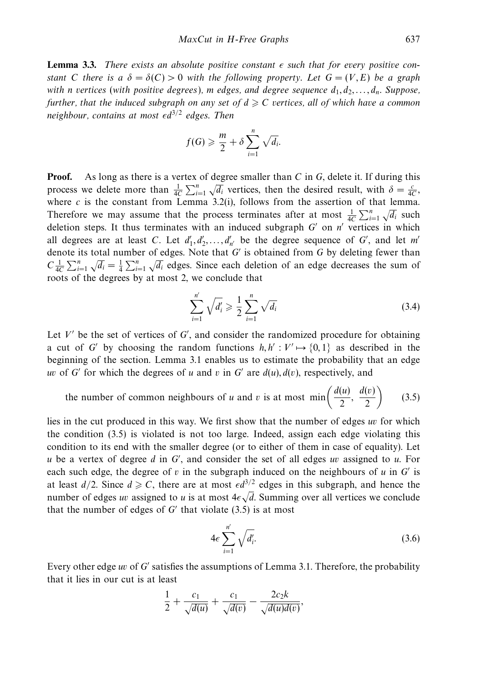**Lemma 3.3.** There exists an absolute positive constant  $\epsilon$  such that for every positive constant *C* there is a  $\delta = \delta(C) > 0$  with the following property. Let  $G = (V, E)$  be a graph with *n* vertices (with positive degrees), *m* edges, and degree sequence  $d_1, d_2, \ldots, d_n$ . Suppose, further, that the induced subgraph on any set of  $d \geqslant C$  vertices, all of which have a common neighbour, contains at most *d*3*/*<sup>2</sup> edges. Then

$$
f(G) \geqslant \frac{m}{2} + \delta \sum_{i=1}^{n} \sqrt{d_i}.
$$

**Proof.** As long as there is a vertex of degree smaller than *C* in *G*, delete it. If during this process we delete more than  $\frac{1}{4C} \sum_{i=1}^{n} \sqrt{d_i}$  vertices, then the desired result, with  $\delta = \frac{c}{4C}$ , where  $c$  is the constant from Lemma 3.2(i), follows from the assertion of that lemma. Therefore we may assume that the process terminates after at most  $\frac{1}{4C} \sum_{i=1}^{n} \sqrt{d_i}$  such deletion steps. It thus terminates with an induced subgraph *G'* on *n'* vertices in which all degrees are at least *C*. Let  $d'_1, d'_2, \ldots, d'_{n'}$  be the degree sequence of *G'*, and let *m'* denote its total number of edges. Note that *G* is obtained from *G* by deleting fewer than  $C \frac{1}{4C} \sum_{i=1}^{n} \sqrt{d_i} = \frac{1}{4} \sum_{i=1}^{n} \sqrt{d_i}$  edges. Since each deletion of an edge decreases the sum of roots of the degrees by at most 2, we conclude that

$$
\sum_{i=1}^{n'} \sqrt{d'_i} \ge \frac{1}{2} \sum_{i=1}^{n} \sqrt{d_i}
$$
 (3.4)

Let  $V'$  be the set of vertices of  $G'$ , and consider the randomized procedure for obtaining a cut of *G'* by choosing the random functions  $h, h' : V' \rightarrow \{0, 1\}$  as described in the beginning of the section. Lemma 3.1 enables us to estimate the probability that an edge *uv* of *G* for which the degrees of *u* and *v* in *G* are  $d(u)$ ,  $d(v)$ , respectively, and

the number of common neighbours of *u* and *v* is at most min
$$
\left(\frac{d(u)}{2}, \frac{d(v)}{2}\right)
$$
 (3.5)

lies in the cut produced in this way. We first show that the number of edges *uv* for which the condition (3.5) is violated is not too large. Indeed, assign each edge violating this condition to its end with the smaller degree (or to either of them in case of equality). Let *u* be a vertex of degree *d* in *G* , and consider the set of all edges *uv* assigned to *u*. For each such edge, the degree of  $v$  in the subgraph induced on the neighbours of  $u$  in  $G'$  is at least  $d/2$ . Since  $d \geqslant C$ , there are at most  $\epsilon d^{3/2}$  edges in this subgraph, and hence the number of edges *uv* assigned to *u* is at most  $4\epsilon\sqrt{d}$ . Summing over all vertices we conclude that the number of edges of  $G'$  that violate  $(3.5)$  is at most

$$
4\epsilon \sum_{i=1}^{n'} \sqrt{d'_i}.
$$
 (3.6)

Every other edge *uv* of *G'* satisfies the assumptions of Lemma 3.1. Therefore, the probability that it lies in our cut is at least

$$
\frac{1}{2}+\frac{c_1}{\sqrt{d(u)}}+\frac{c_1}{\sqrt{d(v)}}-\frac{2c_2k}{\sqrt{d(u)d(v)}},
$$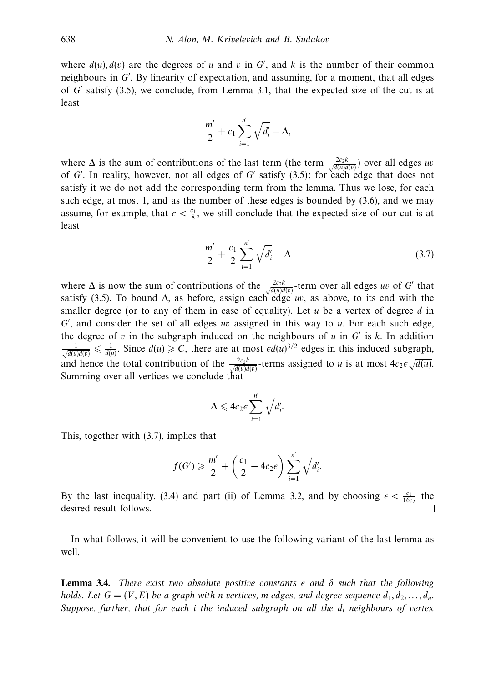where  $d(u)$ ,  $d(v)$  are the degrees of *u* and *v* in *G'*, and *k* is the number of their common neighbours in *G* . By linearity of expectation, and assuming, for a moment, that all edges of *G* satisfy (3.5), we conclude, from Lemma 3.1, that the expected size of the cut is at least

$$
\frac{m'}{2}+c_1\sum_{i=1}^{n'}\sqrt{d'_i}-\Delta,
$$

where  $\Delta$  is the sum of contributions of the last term (the term  $\frac{2c_2k}{\sqrt{d(u)d(v)}}$ ) over all edges *uv* of *G* . In reality, however, not all edges of *G* satisfy (3.5); for each edge that does not satisfy it we do not add the corresponding term from the lemma. Thus we lose, for each such edge, at most 1, and as the number of these edges is bounded by (3.6), and we may assume, for example, that  $\epsilon < \frac{c_1}{8}$ , we still conclude that the expected size of our cut is at least

$$
\frac{m'}{2} + \frac{c_1}{2} \sum_{i=1}^{n'} \sqrt{d'_i} - \Delta
$$
 (3.7)

where  $\Delta$  is now the sum of contributions of the  $\frac{2c_2k}{\sqrt{d(u)d(v)}}$ -term over all edges *uv* of *G* that satisfy (3.5). To bound  $\Delta$ , as before, assign each edge *uv*, as above, to its end with the smaller degree (or to any of them in case of equality). Let *u* be a vertex of degree *d* in *G* , and consider the set of all edges *uv* assigned in this way to *u*. For each such edge, the degree of  $v$  in the subgraph induced on the neighbours of  $u$  in  $G'$  is  $k$ . In addition  $\frac{1}{\sqrt{d(u)d(v)}} \leq \frac{1}{d(u)}$ . Since  $d(u) \geq C$ , there are at most  $\epsilon d(u)^{3/2}$  edges in this induced subgraph, and hence the total contribution of the  $\frac{2c_2k}{\sqrt{d(u)}d(v)}$  terms assigned to *u* is at most  $4c_2\epsilon\sqrt{d(u)}$ . Summing over all vertices we conclude that

$$
\Delta \leqslant 4c_2\epsilon \sum_{i=1}^{n'} \sqrt{d'_i}.
$$

This, together with (3.7), implies that

$$
f(G') \geq \frac{m'}{2} + \left(\frac{c_1}{2} - 4c_2 \epsilon\right) \sum_{i=1}^{n'} \sqrt{d'_i}.
$$

By the last inequality, (3.4) and part (ii) of Lemma 3.2, and by choosing  $\epsilon < \frac{c_1}{16c_2}$  the desired result follows.

In what follows, it will be convenient to use the following variant of the last lemma as well.

**Lemma 3.4.** There exist two absolute positive constants  $\epsilon$  and  $\delta$  such that the following holds. Let  $G = (V, E)$  be a graph with *n* vertices, *m* edges, and degree sequence  $d_1, d_2, \ldots, d_n$ . Suppose, further, that for each *i* the induced subgraph on all the *di* neighbours of vertex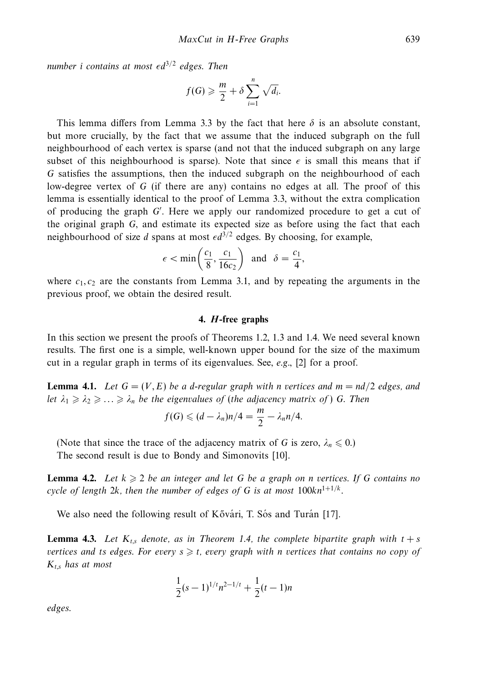number *i* contains at most  $\epsilon d^{3/2}$  edges. Then

$$
f(G) \geqslant \frac{m}{2} + \delta \sum_{i=1}^{n} \sqrt{d_i}.
$$

This lemma differs from Lemma 3.3 by the fact that here  $\delta$  is an absolute constant, but more crucially, by the fact that we assume that the induced subgraph on the full neighbourhood of each vertex is sparse (and not that the induced subgraph on any large subset of this neighbourhood is sparse). Note that since  $\epsilon$  is small this means that if *G* satisfies the assumptions, then the induced subgraph on the neighbourhood of each low-degree vertex of *G* (if there are any) contains no edges at all. The proof of this lemma is essentially identical to the proof of Lemma 3.3, without the extra complication of producing the graph *G* . Here we apply our randomized procedure to get a cut of the original graph *G*, and estimate its expected size as before using the fact that each neighbourhood of size *d* spans at most  $\epsilon d^{3/2}$  edges. By choosing, for example,

$$
\epsilon < \min\left(\frac{c_1}{8}, \frac{c_1}{16c_2}\right) \quad \text{and} \quad \delta = \frac{c_1}{4},
$$

where  $c_1, c_2$  are the constants from Lemma 3.1, and by repeating the arguments in the previous proof, we obtain the desired result.

#### **4.** *H***-free graphs**

In this section we present the proofs of Theorems 1.2, 1.3 and 1.4. We need several known results. The first one is a simple, well-known upper bound for the size of the maximum cut in a regular graph in terms of its eigenvalues. See, e.g., [2] for a proof.

**Lemma 4.1.** Let  $G = (V, E)$  be a d-regular graph with *n* vertices and  $m = nd/2$  edges, and let  $\lambda_1 \geq \lambda_2 \geq \ldots \geq \lambda_n$  be the eigenvalues of (the adjacency matrix of) *G*. Then

$$
f(G) \leqslant (d - \lambda_n)n/4 = \frac{m}{2} - \lambda_n n/4.
$$

(Note that since the trace of the adjacency matrix of *G* is zero,  $\lambda_n \leq 0$ .) The second result is due to Bondy and Simonovits [10].

**Lemma 4.2.** Let  $k \geq 2$  be an integer and let G be a graph on *n* vertices. If G contains no cycle of length 2*k*, then the number of edges of G is at most  $100kn^{1+1/k}$ .

We also need the following result of Kővári, T. Sós and Turán [17].

**Lemma 4.3.** Let  $K_{t,s}$  denote, as in Theorem 1.4, the complete bipartite graph with  $t + s$ vertices and *ts* edges. For every  $s \geq t$ , every graph with *n* vertices that contains no copy of *Kt,s* has at most

$$
\frac{1}{2}(s-1)^{1/t}n^{2-1/t} + \frac{1}{2}(t-1)n
$$

edges.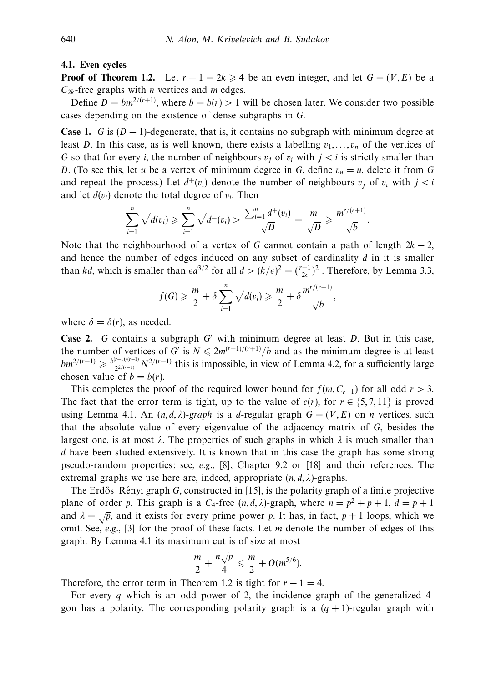#### **4.1. Even cycles**

**Proof of Theorem 1.2.** Let  $r - 1 = 2k \ge 4$  be an even integer, and let  $G = (V, E)$  be a  $C_{2k}$ -free graphs with *n* vertices and *m* edges.

Define  $D = bm^{2/(r+1)}$ , where  $b = b(r) > 1$  will be chosen later. We consider two possible cases depending on the existence of dense subgraphs in *G*.

**Case 1.** *G* is  $(D-1)$ -degenerate, that is, it contains no subgraph with minimum degree at least *D*. In this case, as is well known, there exists a labelling  $v_1, \ldots, v_n$  of the vertices of *G* so that for every *i*, the number of neighbours  $v_i$  of  $v_i$  with  $j < i$  is strictly smaller than *D*. (To see this, let *u* be a vertex of minimum degree in *G*, define  $v_n = u$ , delete it from *G* and repeat the process.) Let  $d^+(v_i)$  denote the number of neighbours  $v_i$  of  $v_i$  with  $i < i$ and let  $d(v_i)$  denote the total degree of  $v_i$ . Then

$$
\sum_{i=1}^n \sqrt{d(v_i)} \geqslant \sum_{i=1}^n \sqrt{d^+(v_i)} > \frac{\sum_{i=1}^n d^+(v_i)}{\sqrt{D}} = \frac{m}{\sqrt{D}} \geqslant \frac{m^{r/(r+1)}}{\sqrt{b}}.
$$

Note that the neighbourhood of a vertex of *G* cannot contain a path of length  $2k - 2$ , and hence the number of edges induced on any subset of cardinality *d* in it is smaller than *kd*, which is smaller than  $\epsilon d^{3/2}$  for all  $d > (k/\epsilon)^2 = (\frac{r-1}{2\epsilon})^2$ . Therefore, by Lemma 3.3,

$$
f(G) \geqslant \frac{m}{2} + \delta \sum_{i=1}^{n} \sqrt{d(v_i)} \geqslant \frac{m}{2} + \delta \frac{m^{r/(r+1)}}{\sqrt{b}},
$$

where  $\delta = \delta(r)$ , as needed.

**Case 2.** *G* contains a subgraph *G* with minimum degree at least *D*. But in this case, the number of vertices of *G'* is  $N \le 2m^{(r-1)/(r+1)}/b$  and as the minimum degree is at least  $bm^{2/(r+1)} \ge \frac{b^{(r+1)/(r-1)}}{2^{2/(r-1)}} N^{2/(r-1)}$  this is impossible, in view of Lemma 4.2, for a sufficiently large chosen value of  $b = b(r)$ .

This completes the proof of the required lower bound for  $f(m, C_{r-1})$  for all odd  $r > 3$ . The fact that the error term is tight, up to the value of  $c(r)$ , for  $r \in \{5, 7, 11\}$  is proved using Lemma 4.1. An  $(n, d, \lambda)$ -graph is a *d*-regular graph  $G = (V, E)$  on *n* vertices, such that the absolute value of every eigenvalue of the adjacency matrix of *G*, besides the largest one, is at most  $\lambda$ . The properties of such graphs in which  $\lambda$  is much smaller than *d* have been studied extensively. It is known that in this case the graph has some strong pseudo-random properties; see, e.g., [8], Chapter 9.2 or [18] and their references. The extremal graphs we use here are, indeed, appropriate (*n, d, λ*)-graphs.

The Erdős–Rényi graph G, constructed in [15], is the polarity graph of a finite projective plane of order *p*. This graph is a  $C_4$ -free  $(n, d, \lambda)$ -graph, where  $n = p^2 + p + 1$ ,  $d = p + 1$ and  $\lambda = \sqrt{p}$ , and it exists for every prime power *p*. It has, in fact,  $p + 1$  loops, which we omit. See, e.g., [3] for the proof of these facts. Let *m* denote the number of edges of this graph. By Lemma 4.1 its maximum cut is of size at most

$$
\frac{m}{2}+\frac{n\sqrt{p}}{4}\leqslant \frac{m}{2}+O(m^{5/6}).
$$

Therefore, the error term in Theorem 1.2 is tight for  $r - 1 = 4$ .

For every *q* which is an odd power of 2, the incidence graph of the generalized 4 gon has a polarity. The corresponding polarity graph is a  $(q + 1)$ -regular graph with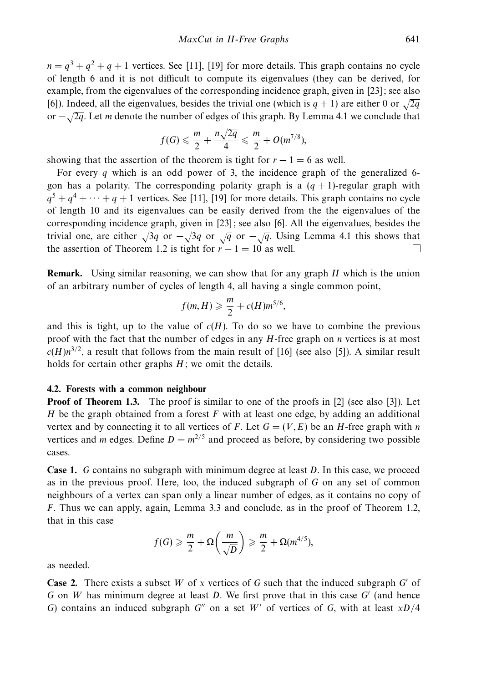$n = a<sup>3</sup> + a<sup>2</sup> + a + 1$  vertices. See [11], [19] for more details. This graph contains no cycle of length 6 and it is not difficult to compute its eigenvalues (they can be derived, for example, from the eigenvalues of the corresponding incidence graph, given in [23]; see also [6]). Indeed, all the eigenvalues, besides the trivial one (which is  $q + 1$ ) are either 0 or  $\sqrt{2q}$ or <sup>−</sup>√2*q*. Let *<sup>m</sup>* denote the number of edges of this graph. By Lemma 4.1 we conclude that

$$
f(G) \leqslant \frac{m}{2} + \frac{n\sqrt{2q}}{4} \leqslant \frac{m}{2} + O(m^{7/8}),
$$

showing that the assertion of the theorem is tight for  $r - 1 = 6$  as well.

For every *q* which is an odd power of 3, the incidence graph of the generalized 6 gon has a polarity. The corresponding polarity graph is a  $(q + 1)$ -regular graph with  $q^5 + q^4 + \cdots + q + 1$  vertices. See [11], [19] for more details. This graph contains no cycle of length 10 and its eigenvalues can be easily derived from the the eigenvalues of the corresponding incidence graph, given in [23]; see also [6]. All the eigenvalues, besides the trivial one, are either  $\sqrt{3q}$  or  $-\sqrt{3q}$  or  $\sqrt{q}$  or  $-\sqrt{q}$ . Using Lemma 4.1 this shows that the assertion of Theorem 1.2 is tight for  $r - 1 = 10$  as well.  $\Box$ 

**Remark.** Using similar reasoning, we can show that for any graph *H* which is the union of an arbitrary number of cycles of length 4, all having a single common point,

$$
f(m,H) \geqslant \frac{m}{2} + c(H)m^{5/6},
$$

and this is tight, up to the value of  $c(H)$ . To do so we have to combine the previous proof with the fact that the number of edges in any *H*-free graph on *n* vertices is at most  $c(H)n^{3/2}$ , a result that follows from the main result of [16] (see also [5]). A similar result holds for certain other graphs *H*; we omit the details.

# **4.2. Forests with a common neighbour**

**Proof of Theorem 1.3.** The proof is similar to one of the proofs in [2] (see also [3]). Let *H* be the graph obtained from a forest *F* with at least one edge, by adding an additional vertex and by connecting it to all vertices of *F*. Let  $G = (V, E)$  be an *H*-free graph with *n* vertices and *m* edges. Define  $D = m^{2/5}$  and proceed as before, by considering two possible cases.

**Case 1.** *G* contains no subgraph with minimum degree at least *D*. In this case, we proceed as in the previous proof. Here, too, the induced subgraph of *G* on any set of common neighbours of a vertex can span only a linear number of edges, as it contains no copy of *F*. Thus we can apply, again, Lemma 3.3 and conclude, as in the proof of Theorem 1.2, that in this case

$$
f(G) \geqslant \frac{m}{2} + \Omega\left(\frac{m}{\sqrt{D}}\right) \geqslant \frac{m}{2} + \Omega(m^{4/5}),
$$

as needed.

**Case 2.** There exists a subset *W* of *x* vertices of *G* such that the induced subgraph *G* of *G* on *W* has minimum degree at least *D*. We first prove that in this case *G* (and hence *G*) contains an induced subgraph *G*<sup> $\prime\prime$ </sup> on a set *W*<sup> $\prime$ </sup> of vertices of *G*, with at least  $xD/4$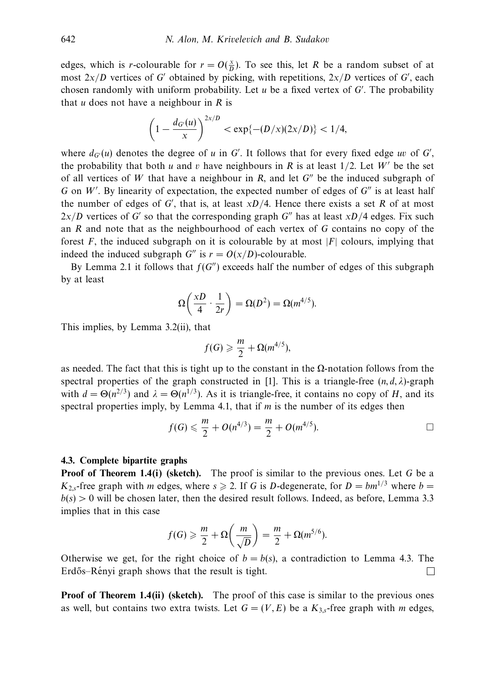edges, which is *r*-colourable for  $r = O(\frac{x}{D})$ . To see this, let *R* be a random subset of at most  $2x/D$  vertices of *G'* obtained by picking, with repetitions,  $2x/D$  vertices of *G'*, each chosen randomly with uniform probability. Let *u* be a fixed vertex of *G* . The probability that *u* does not have a neighbour in *R* is

$$
\left(1 - \frac{d_{G'}(u)}{x}\right)^{2x/D} < \exp\{-(D/x)(2x/D)\} < 1/4,
$$

where  $d_G(u)$  denotes the degree of *u* in *G'*. It follows that for every fixed edge *uv* of *G'*, the probability that both *u* and *v* have neighbours in *R* is at least  $1/2$ . Let *W'* be the set of all vertices of *W* that have a neighbour in *R*, and let  $G''$  be the induced subgraph of *G* on *W'*. By linearity of expectation, the expected number of edges of *G*" is at least half the number of edges of  $G'$ , that is, at least  $xD/4$ . Hence there exists a set  $R$  of at most  $2x/D$  vertices of *G'* so that the corresponding graph *G''* has at least  $xD/4$  edges. Fix such an *R* and note that as the neighbourhood of each vertex of *G* contains no copy of the forest  $F$ , the induced subgraph on it is colourable by at most  $|F|$  colours, implying that indeed the induced subgraph *G*<sup>*n*</sup> is  $r = O(x/D)$ -colourable.

By Lemma 2.1 it follows that  $f(G'')$  exceeds half the number of edges of this subgraph by at least

$$
\Omega\bigg(\frac{xD}{4}\cdot\frac{1}{2r}\bigg)=\Omega(D^2)=\Omega(m^{4/5}).
$$

This implies, by Lemma 3.2(ii), that

$$
f(G) \geqslant \frac{m}{2} + \Omega(m^{4/5}),
$$

as needed. The fact that this is tight up to the constant in the  $\Omega$ -notation follows from the spectral properties of the graph constructed in [1]. This is a triangle-free  $(n, d, \lambda)$ -graph with  $d = \Theta(n^{2/3})$  and  $\lambda = \Theta(n^{1/3})$ . As it is triangle-free, it contains no copy of *H*, and its spectral properties imply, by Lemma 4.1, that if *m* is the number of its edges then

$$
f(G) \leq \frac{m}{2} + O(n^{4/3}) = \frac{m}{2} + O(m^{4/5}).
$$

#### **4.3. Complete bipartite graphs**

**Proof of Theorem 1.4(i) (sketch).** The proof is similar to the previous ones. Let *G* be a  $K_2$ <sub>s</sub>-free graph with *m* edges, where  $s \ge 2$ . If *G* is *D*-degenerate, for  $D = bm^{1/3}$  where  $b =$  $b(s) > 0$  will be chosen later, then the desired result follows. Indeed, as before, Lemma 3.3 implies that in this case

$$
f(G) \geqslant \frac{m}{2} + \Omega\left(\frac{m}{\sqrt{D}}\right) = \frac{m}{2} + \Omega(m^{5/6}).
$$

Otherwise we get, for the right choice of  $b = b(s)$ , a contradiction to Lemma 4.3. The Erdős–Rényi graph shows that the result is tight.  $\Box$ 

**Proof of Theorem 1.4(ii) (sketch).** The proof of this case is similar to the previous ones as well, but contains two extra twists. Let  $G = (V, E)$  be a  $K_{3,s}$ -free graph with *m* edges,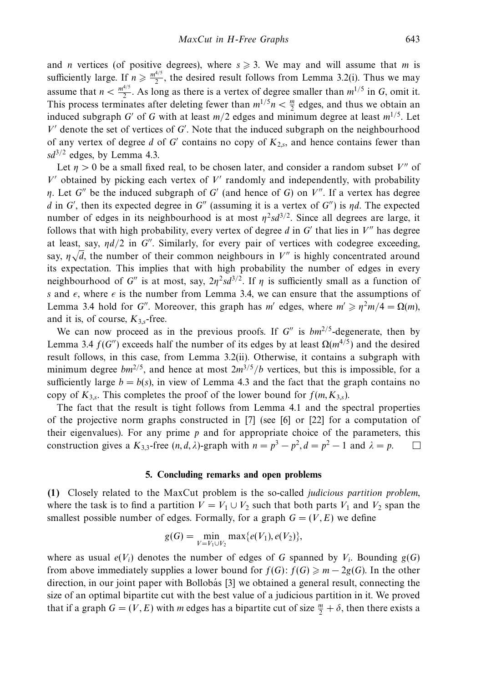and *n* vertices (of positive degrees), where  $s \ge 3$ . We may and will assume that *m* is sufficiently large. If  $n \ge \frac{m^{4/5}}{2}$ , the desired result follows from Lemma 3.2(i). Thus we may assume that  $n < \frac{m^{4/5}}{2}$ . As long as there is a vertex of degree smaller than  $m^{1/5}$  in *G*, omit it. This process terminates after deleting fewer than  $m^{1/5}n < \frac{m}{2}$  edges, and thus we obtain an induced subgraph *G'* of *G* with at least  $m/2$  edges and minimum degree at least  $m^{1/5}$ . Let *V* denote the set of vertices of *G* . Note that the induced subgraph on the neighbourhood of any vertex of degree  $d$  of  $G'$  contains no copy of  $K_{2,s}$ , and hence contains fewer than  $sd^{3/2}$  edges, by Lemma 4.3.

Let  $\eta > 0$  be a small fixed real, to be chosen later, and consider a random subset *V''* of  $V'$  obtained by picking each vertex of  $V'$  randomly and independently, with probability *η*. Let *G*<sup>"</sup> be the induced subgraph of *G'* (and hence of *G*) on *V*<sup>"</sup>. If a vertex has degree *d* in *G'*, then its expected degree in  $G''$  (assuming it is a vertex of  $G''$ ) is  $\eta d$ . The expected number of edges in its neighbourhood is at most  $\eta^2 s d^{3/2}$ . Since all degrees are large, it follows that with high probability, every vertex of degree  $d$  in  $G'$  that lies in  $V''$  has degree at least, say,  $\eta d/2$  in *G*". Similarly, for every pair of vertices with codegree exceeding, say,  $\eta \sqrt{d}$ , the number of their common neighbours in  $V''$  is highly concentrated around its expectation. This implies that with high probability the number of edges in every neighbourhood of *G''* is at most, say,  $2\eta^2 s d^{3/2}$ . If *η* is sufficiently small as a function of *s* and  $\epsilon$ , where  $\epsilon$  is the number from Lemma 3.4, we can ensure that the assumptions of Lemma 3.4 hold for *G*". Moreover, this graph has *m'* edges, where  $m' \geq n^2m/4 = \Omega(m)$ , and it is, of course,  $K_{3s}$ -free.

We can now proceed as in the previous proofs. If  $G''$  is  $bm^{2/5}$ -degenerate, then by Lemma 3.4 *f*(*G*<sup>*''*</sup>) exceeds half the number of its edges by at least Ω( $m^{4/5}$ ) and the desired result follows, in this case, from Lemma 3.2(ii). Otherwise, it contains a subgraph with minimum degree  $bm^{2/5}$ , and hence at most  $2m^{3/5}/b$  vertices, but this is impossible, for a sufficiently large  $b = b(s)$ , in view of Lemma 4.3 and the fact that the graph contains no copy of  $K_{3,s}$ . This completes the proof of the lower bound for  $f(m, K_{3,s})$ .

The fact that the result is tight follows from Lemma 4.1 and the spectral properties of the projective norm graphs constructed in [7] (see [6] or [22] for a computation of their eigenvalues). For any prime *p* and for appropriate choice of the parameters, this construction gives a  $K_{3,3}$ -free  $(n, d, \lambda)$ -graph with  $n = p^3 - p^2$ ,  $d = p^2 - 1$  and  $\lambda = p$ .  $\Box$ 

#### **5. Concluding remarks and open problems**

**(1)** Closely related to the MaxCut problem is the so-called judicious partition problem, where the task is to find a partition  $V = V_1 \cup V_2$  such that both parts  $V_1$  and  $V_2$  span the smallest possible number of edges. Formally, for a graph  $G = (V, E)$  we define

$$
g(G) = \min_{V=V_1 \cup V_2} \max\{e(V_1), e(V_2)\},\
$$

where as usual  $e(V_i)$  denotes the number of edges of G spanned by  $V_i$ . Bounding  $g(G)$ from above immediately supplies a lower bound for  $f(G)$ :  $f(G) \ge m - 2g(G)$ . In the other direction, in our joint paper with Bollobás [3] we obtained a general result, connecting the size of an optimal bipartite cut with the best value of a judicious partition in it. We proved that if a graph  $G = (V, E)$  with *m* edges has a bipartite cut of size  $\frac{m}{2} + \delta$ , then there exists a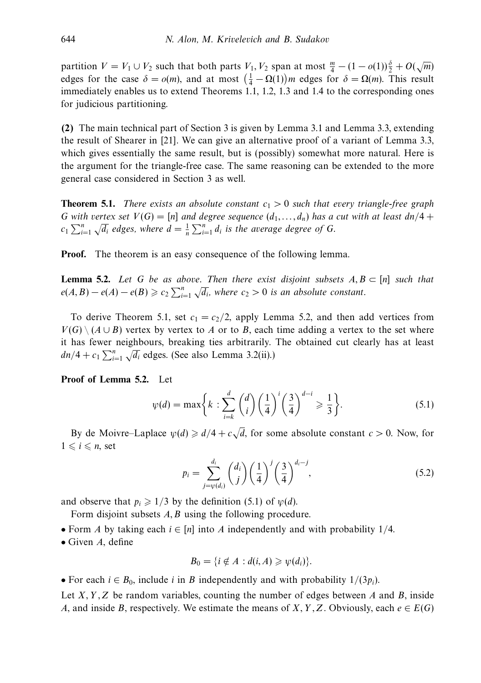partition  $V = V_1 \cup V_2$  such that both parts  $V_1, V_2$  span at most  $\frac{m}{4} - (1 - o(1))\frac{\delta}{2} + O(\sqrt{m})$ edges for the case  $\delta = o(m)$ , and at most  $(\frac{1}{4} - \Omega(1))m$  edges for  $\delta = \Omega(m)$ . This result immediately enables us to extend Theorems 1.1, 1.2, 1.3 and 1.4 to the corresponding ones for judicious partitioning.

**(2)** The main technical part of Section 3 is given by Lemma 3.1 and Lemma 3.3, extending the result of Shearer in [21]. We can give an alternative proof of a variant of Lemma 3.3, which gives essentially the same result, but is (possibly) somewhat more natural. Here is the argument for the triangle-free case. The same reasoning can be extended to the more general case considered in Section 3 as well.

**Theorem 5.1.** There exists an absolute constant  $c_1 > 0$  such that every triangle-free graph *G* with vertex set  $V(G) = [n]$  and degree sequence  $(d_1, \ldots, d_n)$  has a cut with at least  $dn/4 +$ *c*<sub>1</sub>  $\sum_{i=1}^{n} \sqrt{d_i}$  edges, where  $d = \frac{1}{n} \sum_{i=1}^{n} d_i$  is the average degree of *G*.

**Proof.** The theorem is an easy consequence of the following lemma.

**Lemma 5.2.** Let G be as above. Then there exist disjoint subsets  $A, B \subseteq [n]$  such that  $e(A, B) - e(A) - e(B) \geq c_2 \sum_{i=1}^{n} \sqrt{d_i}$ , where  $c_2 > 0$  is an absolute constant.

To derive Theorem 5.1, set  $c_1 = c_2/2$ , apply Lemma 5.2, and then add vertices from  $V(G) \setminus (A \cup B)$  vertex by vertex to *A* or to *B*, each time adding a vertex to the set where it has fewer neighbours, breaking ties arbitrarily. The obtained cut clearly has at least *dn/*4 +  $c_1 \sum_{i=1}^{n} \sqrt{d_i}$  edges. (See also Lemma 3.2(ii).)

**Proof of Lemma 5.2.** Let

$$
\psi(d) = \max\left\{k : \sum_{i=k}^{d} \binom{d}{i} \left(\frac{1}{4}\right)^{i} \left(\frac{3}{4}\right)^{d-i} \geqslant \frac{1}{3}\right\}.
$$
\n(5.1)

By de Moivre–Laplace  $\psi(d) \geq d/4 + c$ *d*, for some absolute constant *c >* 0. Now, for  $1 \leq i \leq n$ , set

$$
p_i = \sum_{j=\psi(d_i)}^{d_i} \binom{d_i}{j} \left(\frac{1}{4}\right)^j \left(\frac{3}{4}\right)^{d_i-j},\tag{5.2}
$$

and observe that  $p_i \geq 1/3$  by the definition (5.1) of  $\psi(d)$ .

Form disjoint subsets *A, B* using the following procedure.

• Form *A* by taking each *i* ∈ [*n*] into *A* independently and with probability 1*/*4.

• Given *A*, define

$$
B_0 = \{i \notin A : d(i, A) \geqslant \psi(d_i)\}.
$$

• For each  $i \in B_0$ , include *i* in *B* independently and with probability  $1/(3p_i)$ .

Let *X,Y ,Z* be random variables, counting the number of edges between *A* and *B*, inside *A*, and inside *B*, respectively. We estimate the means of *X*, *Y*, *Z*. Obviously, each  $e \in E(G)$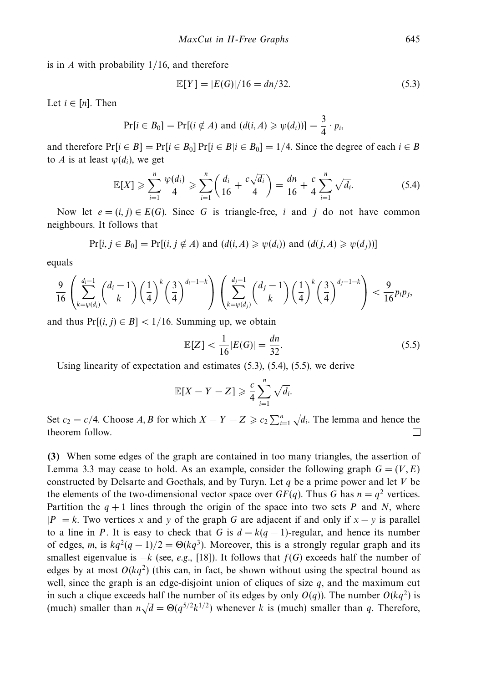is in *A* with probability 1/16, and therefore

$$
\mathbb{E}[Y] = |E(G)|/16 = \frac{dn}{32}.\tag{5.3}
$$

Let  $i \in [n]$ . Then

$$
Pr[i \in B_0] = Pr[(i \notin A) \text{ and } (d(i, A) \geq \psi(d_i))] = \frac{3}{4} \cdot p_i,
$$

and therefore  $Pr[i \in B] = Pr[i \in B_0] Pr[i \in B | i \in B_0] = 1/4$ . Since the degree of each  $i \in B$ to *A* is at least  $\psi(d_i)$ , we get

$$
\mathbb{E}[X] \geqslant \sum_{i=1}^{n} \frac{\psi(d_i)}{4} \geqslant \sum_{i=1}^{n} \left( \frac{d_i}{16} + \frac{c\sqrt{d_i}}{4} \right) = \frac{dn}{16} + \frac{c}{4} \sum_{i=1}^{n} \sqrt{d_i}.
$$
 (5.4)

Now let  $e = (i, j) \in E(G)$ . Since G is triangle-free, *i* and *j* do not have common neighbours. It follows that

$$
Pr[i, j \in B_0] = Pr[(i, j \notin A) \text{ and } (d(i, A) \geq \psi(d_i)) \text{ and } (d(j, A) \geq \psi(d_j))]
$$

equals

$$
\frac{9}{16} \left( \sum_{k=\psi(d_i)}^{d_i-1} {d_i - 1 \choose k} \left(\frac{1}{4}\right)^k \left(\frac{3}{4}\right)^{d_i-1-k} \right) \left( \sum_{k=\psi(d_j)}^{d_j-1} {d_j - 1 \choose k} \left(\frac{1}{4}\right)^k \left(\frac{3}{4}\right)^{d_j-1-k} \right) < \frac{9}{16} p_i p_j,
$$

and thus  $Pr[(i, j) \in B] < 1/16$ . Summing up, we obtain

$$
\mathbb{E}[Z] < \frac{1}{16} |E(G)| = \frac{dn}{32}.\tag{5.5}
$$

Using linearity of expectation and estimates (5.3), (5.4), (5.5), we derive

$$
\mathbb{E}[X - Y - Z] \geqslant \frac{c}{4} \sum_{i=1}^{n} \sqrt{d_i}.
$$

Set  $c_2 = c/4$ . Choose *A*, *B* for which  $X - Y - Z \geq c_2 \sum_{i=1}^n \sqrt{d_i}$ . The lemma and hence the theorem follow.  $\Box$ 

**(3)** When some edges of the graph are contained in too many triangles, the assertion of Lemma 3.3 may cease to hold. As an example, consider the following graph  $G = (V, E)$ constructed by Delsarte and Goethals, and by Turyn. Let *q* be a prime power and let *V* be the elements of the two-dimensional vector space over  $GF(q)$ . Thus *G* has  $n = q^2$  vertices. Partition the  $q + 1$  lines through the origin of the space into two sets *P* and *N*, where  $|P| = k$ . Two vertices *x* and *y* of the graph *G* are adjacent if and only if  $x - y$  is parallel to a line in *P*. It is easy to check that *G* is  $d = k(q - 1)$ -regular, and hence its number of edges, *m*, is  $kq^2(q-1)/2 = \Theta(kq^3)$ . Moreover, this is a strongly regular graph and its smallest eigenvalue is  $-k$  (see, e.g., [18]). It follows that  $f(G)$  exceeds half the number of edges by at most  $O(kq^2)$  (this can, in fact, be shown without using the spectral bound as well, since the graph is an edge-disjoint union of cliques of size *q*, and the maximum cut in such a clique exceeds half the number of its edges by only  $O(q)$ ). The number  $O(kq^2)$  is (much) smaller than  $n\sqrt{d} = \Theta(q^{5/2}k^{1/2})$  whenever *k* is (much) smaller than *q*. Therefore,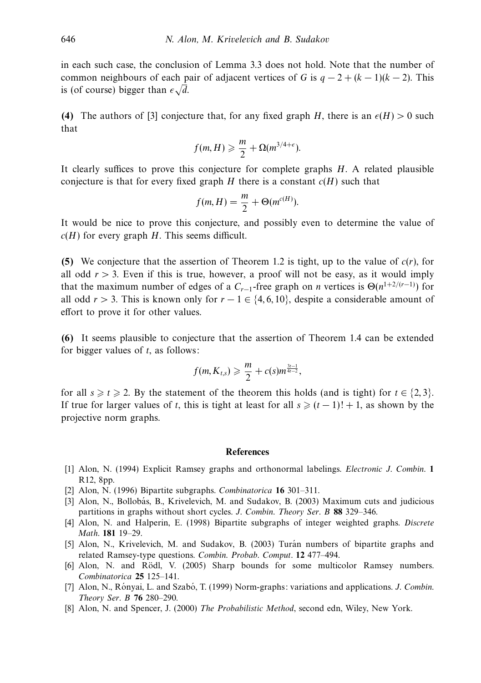in each such case, the conclusion of Lemma 3.3 does not hold. Note that the number of common neighbours of each pair of adjacent vertices of *G* is  $q - 2 + (k - 1)(k - 2)$ . This is (of course) bigger than  $\epsilon \sqrt{d}$ .

**(4)** The authors of [3] conjecture that, for any fixed graph *H*, there is an  $\epsilon(H) > 0$  such that

$$
f(m,H) \geqslant \frac{m}{2} + \Omega(m^{3/4+\epsilon}).
$$

It clearly suffices to prove this conjecture for complete graphs *H*. A related plausible conjecture is that for every fixed graph *H* there is a constant  $c(H)$  such that

$$
f(m, H) = \frac{m}{2} + \Theta(m^{c(H)}).
$$

It would be nice to prove this conjecture, and possibly even to determine the value of *c*(*H*) for every graph *H*. This seems difficult.

**(5)** We conjecture that the assertion of Theorem 1.2 is tight, up to the value of *c*(*r*), for all odd  $r > 3$ . Even if this is true, however, a proof will not be easy, as it would imply that the maximum number of edges of a  $C_{r-1}$ -free graph on *n* vertices is  $\Theta(n^{1+2/(r-1)})$  for all odd  $r > 3$ . This is known only for  $r - 1 \in \{4, 6, 10\}$ , despite a considerable amount of effort to prove it for other values.

**(6)** It seems plausible to conjecture that the assertion of Theorem 1.4 can be extended for bigger values of *t*, as follows:

$$
f(m, K_{t,s}) \geq \frac{m}{2} + c(s) m^{\frac{3t-1}{4t-2}},
$$

for all  $s \ge t \ge 2$ . By the statement of the theorem this holds (and is tight) for  $t \in \{2, 3\}$ . If true for larger values of *t*, this is tight at least for all  $s \ge (t-1)! + 1$ , as shown by the projective norm graphs.

### **References**

- [1] Alon, N. (1994) Explicit Ramsey graphs and orthonormal labelings. Electronic J. Combin. **1** R12, 8pp.
- [2] Alon, N. (1996) Bipartite subgraphs. Combinatorica **16** 301–311.
- [3] Alon, N., Bollobás, B., Krivelevich, M. and Sudakov, B. (2003) Maximum cuts and judicious partitions in graphs without short cycles. J. Combin. Theory Ser. B **88** 329–346.
- [4] Alon, N. and Halperin, E. (1998) Bipartite subgraphs of integer weighted graphs. Discrete Math. **181** 19–29.
- [5] Alon, N., Krivelevich, M. and Sudakov, B. (2003) Turán numbers of bipartite graphs and related Ramsey-type questions. Combin. Probab. Comput. **12** 477–494.
- [6] Alon, N. and Rödl, V. (2005) Sharp bounds for some multicolor Ramsey numbers. Combinatorica **25** 125–141.
- [7] Alon, N., Rónyai, L. and Szabó, T. (1999) Norm-graphs: variations and applications. J. Combin. Theory Ser. B **76** 280–290.
- [8] Alon, N. and Spencer, J. (2000) The Probabilistic Method, second edn, Wiley, New York.